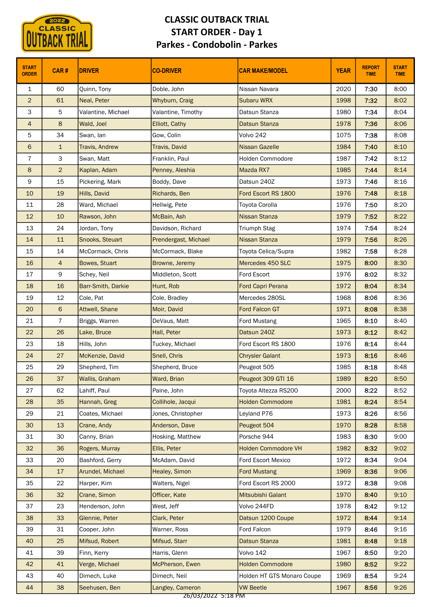

|                              | <b>CLASSIC</b> |                                 | <b>CLASSIC OUTBACK TRIAL</b><br><b>START ORDER - Day 1</b><br><b>Parkes - Condobolin - Parkes</b> |                                   |              |                              |                             |
|------------------------------|----------------|---------------------------------|---------------------------------------------------------------------------------------------------|-----------------------------------|--------------|------------------------------|-----------------------------|
| <b>START</b><br><b>ORDER</b> | CAR#           | <b>DRIVER</b>                   | <b>CO-DRIVER</b>                                                                                  | <b>CAR MAKE/MODEL</b>             | <b>YEAR</b>  | <b>REPORT</b><br><b>TIME</b> | <b>START</b><br><b>TIME</b> |
| $\mathbf{1}$                 | 60             | Quinn, Tony                     | Doble, John                                                                                       | Nissan Navara                     | 2020         | 7:30                         | 8:00                        |
| $\overline{2}$               | 61             | Neal, Peter                     | Whyburn, Craig                                                                                    | Subaru WRX                        | 1998         | 7:32                         | 8:02                        |
| 3                            | 5              | Valantine, Michael              | Valantine, Timothy                                                                                | Datsun Stanza                     | 1980         | 7:34                         | 8:04                        |
| $\overline{4}$               | 8              | Wald, Joel                      | Elliott, Cathy                                                                                    | <b>Datsun Stanza</b>              | 1978         | 7:36                         | 8:06                        |
| 5                            | 34             | Swan, lan                       | Gow, Colin                                                                                        | Volvo 242                         | 1075         | 7:38                         | 8:08                        |
| 6                            | $\mathbf{1}$   | <b>Travis, Andrew</b>           | Travis, David                                                                                     | <b>Nissan Gazelle</b>             | 1984         | 7:40                         | 8:10                        |
| $\overline{7}$               | 3              | Swan, Matt                      | Franklin, Paul                                                                                    | Holden Commodore                  | 1987         | 7:42                         | 8:12                        |
| 8                            | $\overline{2}$ | Kaplan, Adam                    | Penney, Aleshia                                                                                   | Mazda RX7                         | 1985         | 7:44                         | 8:14                        |
| 9                            | 15             | Pickering, Mark                 | Boddy, Dave                                                                                       | Datsun 240Z                       | 1973         | 7:46                         | 8:16                        |
| 10                           | 19             | Hills, David                    | Richards, Ben                                                                                     | Ford Escort RS 1800               | 1976         | 7:48                         | 8:18                        |
| 11                           | 28             | Ward, Michael                   | Hellwig, Pete                                                                                     | Toyota Corolla                    | 1976         | 7:50                         | 8:20                        |
| 12                           | 10             | Rawson, John                    | McBain, Ash                                                                                       | Nissan Stanza                     | 1979         | 7:52                         | 8:22                        |
| 13                           | 24             | Jordan, Tony                    | Davidson, Richard                                                                                 | <b>Triumph Stag</b>               | 1974         | 7:54                         | 8:24                        |
| 14                           | 11             | Snooks, Steuart                 | Prendergast, Michael                                                                              | Nissan Stanza                     | 1979         | 7:56                         | 8:26                        |
| 15                           | 14             | McCormack, Chris                | McCormack, Blake                                                                                  | Toyota Celica/Supra               | 1982         | 7:58                         | 8:28                        |
| 16                           | $\overline{4}$ | Bowes, Stuart                   | Browne, Jeremy                                                                                    | Mercedes 450 SLC                  | 1975         | 8:00                         | 8:30                        |
| 17                           | 9              | Schey, Neil                     | Middleton, Scott                                                                                  | Ford Escort                       | 1976         | 8:02                         | 8:32                        |
| 18                           | 16             | Barr-Smith, Darkie              | Hunt, Rob                                                                                         | Ford Capri Perana                 | 1972         | 8:04                         | 8:34                        |
| 19                           | 12             | Cole, Pat                       | Cole, Bradley                                                                                     | Mercedes 280SL                    | 1968         | 8:06                         | 8:36                        |
| 20                           | $6\phantom{.}$ | Attwell, Shane                  | Moir, David                                                                                       | Ford Falcon GT                    | 1971         | 8:08                         | 8:38                        |
| 21                           | $\overline{7}$ | Briggs, Warren                  | DeVaus, Matt                                                                                      | Ford Mustang                      | 1965         | 8:10                         | 8:40                        |
| 22                           | 26             | Lake, Bruce                     | Hall, Peter                                                                                       | Datsun 240Z                       | 1973         | 8:12                         | 8:42                        |
| 23                           | 18             | Hills, John                     | Tuckey, Michael                                                                                   | Ford Escort RS 1800               | 1976         | 8:14                         | 8:44                        |
| 24                           | 27             | McKenzie, David                 | Snell, Chris                                                                                      | <b>Chrysler Galant</b>            | 1973         | 8:16                         | 8:46                        |
| 25<br>26                     | 29<br>37       | Shepherd, Tim<br>Wallis, Graham | Shepherd, Bruce<br>Ward, Brian                                                                    | Peugeot 505<br>Peugeot 309 GTI 16 | 1985<br>1989 | 8:18<br>8:20                 | 8:48<br>8:50                |
| 27                           | 62             | Lahiff, Paul                    | Paine, John                                                                                       | Toyota Altezza RS200              | 2000         | 8:22                         | 8:52                        |
| 28                           | 35             | Hannah, Greg                    | Collihole, Jacqui                                                                                 | <b>Holden Commodore</b>           | 1981         | 8:24                         | 8:54                        |
| 29                           | 21             | Coates, Michael                 | Jones, Christopher                                                                                | Leyland P76                       | 1973         | 8:26                         | 8:56                        |
| 30                           | 13             | Crane, Andy                     | Anderson, Dave                                                                                    | Peugeot 504                       | 1970         | 8:28                         | 8:58                        |
| 31                           | 30             | Canny, Brian                    | Hosking, Matthew                                                                                  | Porsche 944                       | 1983         | 8:30                         | 9:00                        |
| 32 <sub>2</sub>              | 36             | Rogers, Murray                  | Ellis, Peter                                                                                      | <b>Holden Commodore VH</b>        | 1982         | 8:32                         | 9:02                        |
| 33                           | 20             | Bashford, Gerry                 | McAdam, David                                                                                     | Ford Escort Mexico                | 1972         | 8:34                         | 9:04                        |
| 34                           | 17             | Arundel, Michael                | Healey, Simon                                                                                     | <b>Ford Mustang</b>               | 1969         | 8:36                         | 9:06                        |
| 35                           | 22             | Harper, Kim                     | Walters, Nigel                                                                                    | Ford Escort RS 2000               | 1972         | 8:38                         | 9:08                        |
| 36                           | 32             | Crane, Simon                    | Officer, Kate                                                                                     | Mitsubishi Galant                 | 1970         | 8:40                         | 9:10                        |
| 37                           | 23             | Henderson, John                 | West, Jeff                                                                                        | Volvo 244FD                       | 1978         | 8:42                         | 9:12                        |
| 38                           | 33             | Glennie, Peter                  | Clark, Peter                                                                                      | Datsun 1200 Coupe                 | 1972         | 8:44                         | 9:14                        |
| 39                           | 31             | Cooper, John                    | Warner, Ross                                                                                      | Ford Falcon                       | 1979         | 8:46                         | 9:16                        |
| 40                           | 25             | Mifsud, Robert                  | Mifsud, Starr                                                                                     | <b>Datsun Stanza</b>              | 1981         | 8:48                         | 9:18                        |
| 41                           | 39             | Finn, Kerry                     | Harris, Glenn                                                                                     | Volvo 142                         | 1967         | 8:50                         | 9:20                        |
| 42                           | 41             | Verge, Michael                  | McPherson, Ewen                                                                                   | <b>Holden Commodore</b>           | 1980         | 8:52                         | 9:22                        |
| 43                           | 40             | Dimech, Luke                    | Dimech, Neil                                                                                      | Holden HT GTS Monaro Coupe        | 1969         | 8:54                         | 9:24                        |
| 44                           | 38             | Seehusen, Ben                   | Langley, Cameron                                                                                  | <b>VW Beetle</b>                  | 1967         | 8:56                         | 9:26                        |
|                              |                |                                 | <u>אל צדיף ללחללצח/אל</u>                                                                         |                                   |              |                              |                             |

26/03/2022 5:18 PM